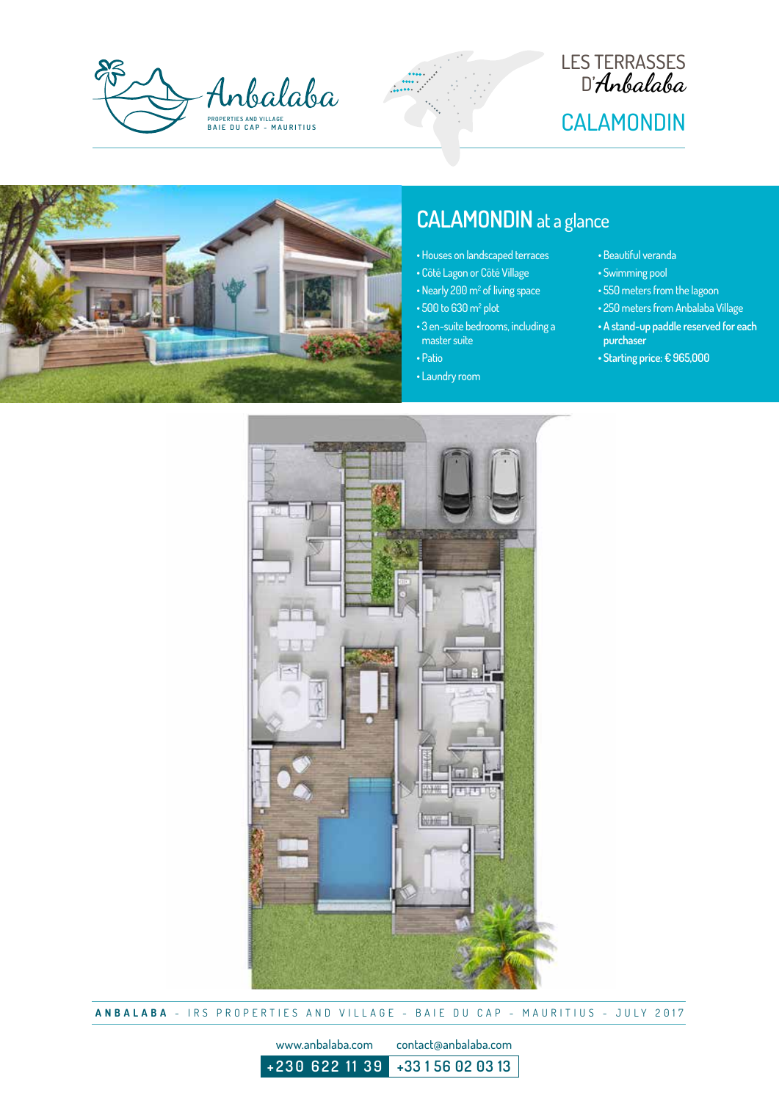





## **CALAMONDIN** at a glance

- Houses on landscaped terraces
- Côté Lagon or Côté Village
- Nearly 200 m<sup>2</sup> of living space  $\cdot$  500 to 630 m<sup>2</sup> plot
- 3 en-suite bedrooms, including a master suite
- Patio
- Laundry room
- Beautiful veranda
- Swimming pool
- 550 meters from the lagoon
- 250 meters from Anbalaba Village
- **A stand-up paddle reserved for each purchaser**
- **Starting price: € 965,000**



**ANBALABA** - IRS PROPERTIES AND VILLAGE - BAIE DU CAP - MAURITIUS - JULY 2017

www.anbalaba.com contact@anbalaba.com

**+230 622 11 39 +33 1 56 02 03 13**